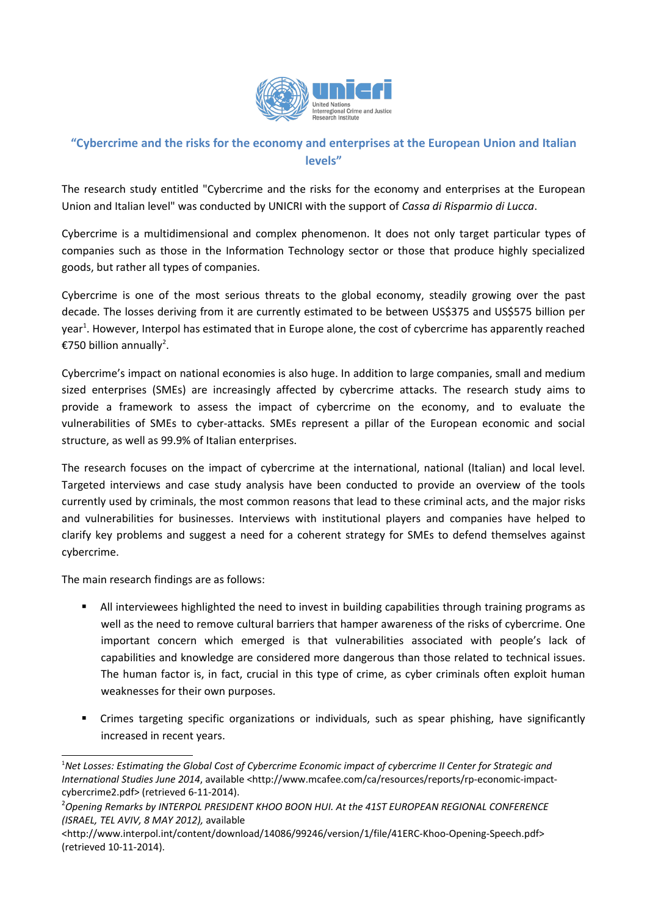

## **"Cybercrime and the risks for the economy and enterprises at the European Union and Italian levels"**

The research study entitled "Cybercrime and the risks for the economy and enterprises at the European Union and Italian level" was conducted by UNICRI with the support of *Cassa di Risparmio di Lucca*.

Cybercrime is a multidimensional and complex phenomenon. It does not only target particular types of companies such as those in the Information Technology sector or those that produce highly specialized goods, but rather all types of companies.

Cybercrime is one of the most serious threats to the global economy, steadily growing over the past decade. The losses deriving from it are currently estimated to be between US\$375 and US\$575 billion per year<sup>[1](#page-0-0)</sup>. However, Interpol has estimated that in Europe alone, the cost of cybercrime has apparently reached €750 billion annually<sup>[2](#page-0-1)</sup>.

Cybercrime's impact on national economies is also huge. In addition to large companies, small and medium sized enterprises (SMEs) are increasingly affected by cybercrime attacks. The research study aims to provide a framework to assess the impact of cybercrime on the economy, and to evaluate the vulnerabilities of SMEs to cyber-attacks. SMEs represent a pillar of the European economic and social structure, as well as 99.9% of Italian enterprises.

The research focuses on the impact of cybercrime at the international, national (Italian) and local level. Targeted interviews and case study analysis have been conducted to provide an overview of the tools currently used by criminals, the most common reasons that lead to these criminal acts, and the major risks and vulnerabilities for businesses. Interviews with institutional players and companies have helped to clarify key problems and suggest a need for a coherent strategy for SMEs to defend themselves against cybercrime.

The main research findings are as follows:

- All interviewees highlighted the need to invest in building capabilities through training programs as well as the need to remove cultural barriers that hamper awareness of the risks of cybercrime. One important concern which emerged is that vulnerabilities associated with people's lack of capabilities and knowledge are considered more dangerous than those related to technical issues. The human factor is, in fact, crucial in this type of crime, as cyber criminals often exploit human weaknesses for their own purposes.
- Crimes targeting specific organizations or individuals, such as spear phishing, have significantly increased in recent years.

<span id="page-0-0"></span><sup>1</sup>*Net Losses: Estimating the Global Cost of Cybercrime Economic impact of cybercrime II Center for Strategic and International Studies June 2014*, available <http://www.mcafee.com/ca/resources/reports/rp-economic-impactcybercrime2.pdf> (retrieved 6-11-2014).

<span id="page-0-1"></span><sup>2</sup>*Opening Remarks by INTERPOL PRESIDENT KHOO BOON HUI. At the 41ST EUROPEAN REGIONAL CONFERENCE (ISRAEL, TEL AVIV, 8 MAY 2012),* available

<sup>&</sup>lt;http://www.interpol.int/content/download/14086/99246/version/1/file/41ERC-Khoo-Opening-Speech.pdf> (retrieved 10-11-2014).